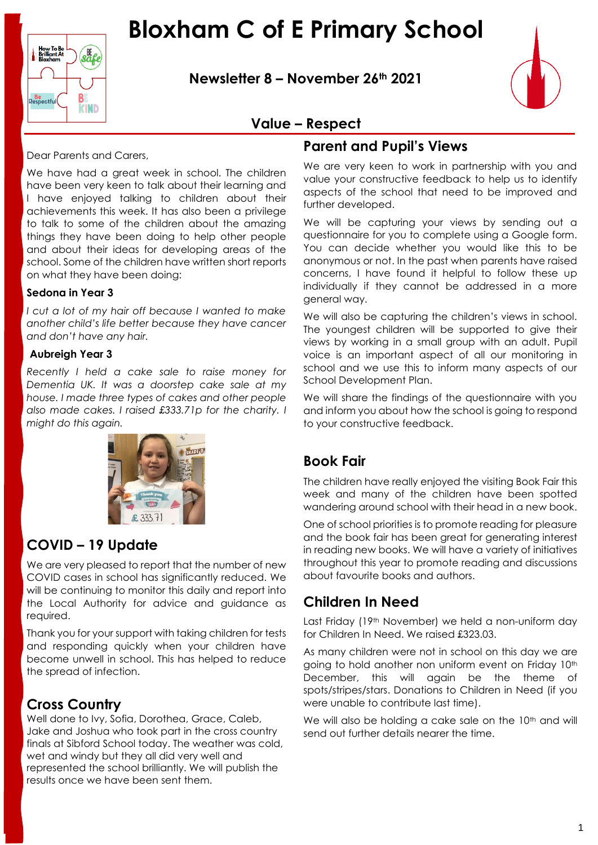## **Bloxham C of E Primary School**

**Newsletter 8 – November 26th 2021**



#### **Value – Respect**

Dear Parents and Carers,

B

**KIND** 

Respectfu

We have had a great week in school. The children have been very keen to talk about their learning and I have enjoyed talking to children about their achievements this week. It has also been a privilege to talk to some of the children about the amazing things they have been doing to help other people and about their ideas for developing areas of the school. Some of the children have written short reports on what they have been doing:

#### **Sedona in Year 3**

*I cut a lot of my hair off because I wanted to make another child's life better because they have cancer and don't have any hair.*

#### **Aubreigh Year 3**

*Recently I held a cake sale to raise money for Dementia UK. It was a doorstep cake sale at my house. I made three types of cakes and other people also made cakes. I raised £333.71p for the charity. I might do this again.*



#### **COVID – 19 Update**

We are very pleased to report that the number of new COVID cases in school has significantly reduced. We will be continuing to monitor this daily and report into the Local Authority for advice and guidance as required.

Thank you for your support with taking children for tests and responding quickly when your children have become unwell in school. This has helped to reduce the spread of infection.

#### **Cross Country**

Well done to Ivy, Sofia, Dorothea, Grace, Caleb, Jake and Joshua who took part in the cross country finals at Sibford School today. The weather was cold, wet and windy but they all did very well and represented the school brilliantly. We will publish the results once we have been sent them.

#### **Parent and Pupil's Views**

We are very keen to work in partnership with you and value your constructive feedback to help us to identify aspects of the school that need to be improved and further developed.

We will be capturing your views by sending out a questionnaire for you to complete using a Google form. You can decide whether you would like this to be anonymous or not. In the past when parents have raised concerns, I have found it helpful to follow these up individually if they cannot be addressed in a more general way.

We will also be capturing the children's views in school. The youngest children will be supported to give their views by working in a small group with an adult. Pupil voice is an important aspect of all our monitoring in school and we use this to inform many aspects of our School Development Plan.

We will share the findings of the questionnaire with you and inform you about how the school is going to respond to your constructive feedback.

#### **Book Fair**

The children have really enjoyed the visiting Book Fair this week and many of the children have been spotted wandering around school with their head in a new book.

One of school priorities is to promote reading for pleasure and the book fair has been great for generating interest in reading new books. We will have a variety of initiatives throughout this year to promote reading and discussions about favourite books and authors.

#### **Children In Need**

Last Friday (19th November) we held a non-uniform day for Children In Need. We raised £323.03.

As many children were not in school on this day we are going to hold another non uniform event on Friday 10th December, this will again be the theme of spots/stripes/stars. Donations to Children in Need (if you were unable to contribute last time).

We will also be holding a cake sale on the 10<sup>th</sup> and will send out further details nearer the time.